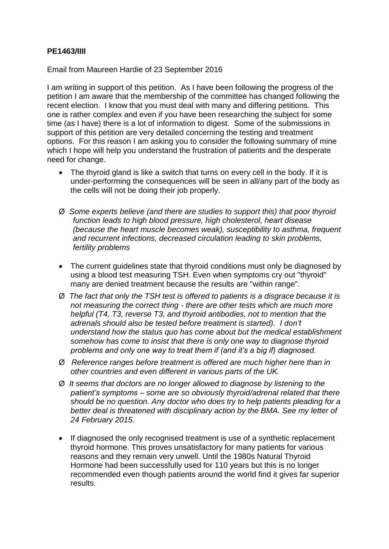## **PE1463/IIII**

Email from Maureen Hardie of 23 September 2016

I am writing in support of this petition. As I have been following the progress of the petition I am aware that the membership of the committee has changed following the recent election. I know that you must deal with many and differing petitions. This one is rather complex and even if you have been researching the subject for some time (as I have) there is a lot of information to digest. Some of the submissions in support of this petition are very detailed concerning the testing and treatment options. For this reason I am asking you to consider the following summary of mine which I hope will help you understand the frustration of patients and the desperate need for change.

- The thyroid gland is like a switch that turns on every cell in the body. If it is under-performing the consequences will be seen in all/any part of the body as the cells will not be doing their job properly.
- Ø *Some experts believe (and there are studies to support this) that poor thyroid function leads to high blood pressure, high cholesterol, heart disease (because the heart muscle becomes weak), susceptibility to asthma, frequent and recurrent infections, decreased circulation leading to skin problems, fertility problems*
- The current guidelines state that thyroid conditions must only be diagnosed by using a blood test measuring TSH. Even when symptoms cry out "thyroid" many are denied treatment because the results are "within range".
- Ø *The fact that only the TSH test is offered to patients is a disgrace because it is not measuring the correct thing - there are other tests which are much more helpful (T4, T3, reverse T3, and thyroid antibodies, not to mention that the adrenals should also be tested before treatment is started). I don't understand how the status quo has come about but the medical establishment somehow has come to insist that there is only one way to diagnose thyroid problems and only one way to treat them if (and it's a big if) diagnosed.*
- Ø *Reference ranges before treatment is offered are much higher here than in other countries and even different in various parts of the UK.*
- Ø *It seems that doctors are no longer allowed to diagnose by listening to the patient's symptoms – some are so obviously thyroid/adrenal related that there should be no question. Any doctor who does try to help patients pleading for a better deal is threatened with disciplinary action by the BMA. See my letter of 24 February 2015.*
- If diagnosed the only recognised treatment is use of a synthetic replacement thyroid hormone. This proves unsatisfactory for many patients for various reasons and they remain very unwell. Until the 1980s Natural Thyroid Hormone had been successfully used for 110 years but this is no longer recommended even though patients around the world find it gives far superior results.